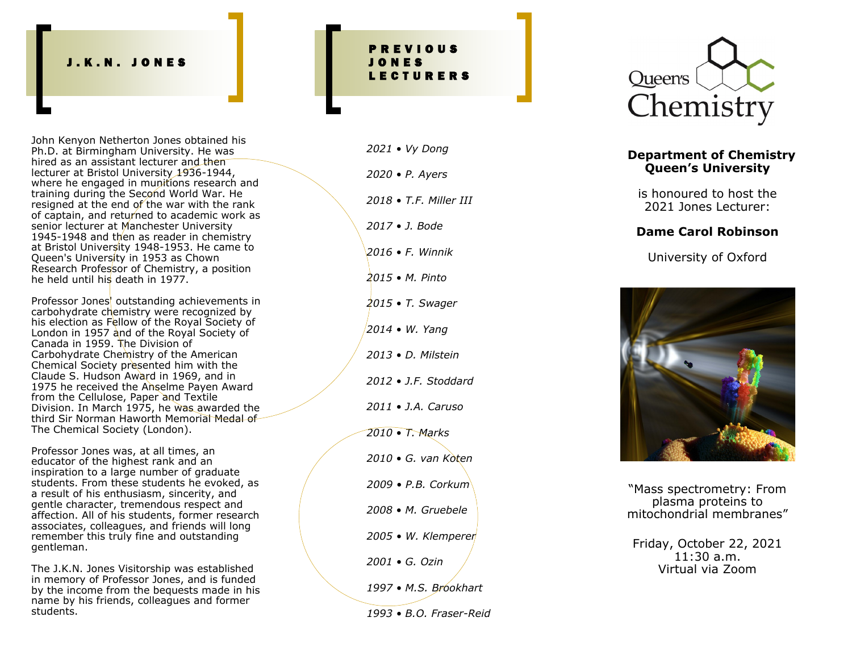#### J . K . N . J O N E S

John Kenyon Netherton Jones obtained his Ph.D. at Birmingham University. He was hired as an assistant lecturer and then lecturer at Bristol University 1936-1944, where he engaged in munitions research and training during the Second World War. He resigned at the end of the war with the rank of captain, and returned to academic work as senior lecturer at Manchester University 1945-1948 and then as reader in chemistry at Bristol University 1948 -1953. He came to Queen's University in 1953 as Chown Research Professor of Chemistry, a position he held until his death in 1977.

Professor Jones' outstanding achievements in carbohydrate chemistry were recognized by his election as Fellow of the Royal Society of London in 1957 and of the Royal Society of Canada in 1959. The Division of Carbohydrate Chemistry of the American Chemical Society presented him with the Claude S. Hudson Award in 1969, and in 1975 he received the Anselme Payen Award from the Cellulose, Paper and Textile Division. In March 1975, he was awarded the third Sir Norman Haworth Memorial Medal of The Chemical Society (London).

Professor Jones was, at all times, an educator of the highest rank and an inspiration to a large number of graduate students. From these students he evoked, as a result of his enthusiasm, sincerity, and gentle character, tremendous respect and affection. All of his students, former research associates, colleagues, and friends will long remember this truly fine and outstanding gentleman.

The J.K.N. Jones Visitorship was established in memory of Professor Jones, and is funded by the income from the bequests made in his name by his friends, colleagues and former students.

## P R E V I O U S J O N E S L E C T U R E R S

*2021 • Vy Dong 2020 • P. Ayers 2018 • T.F. Miller III 2017 • J. Bode 2016 • F. Winnik 2015 • M. Pinto 2015 • T. Swager 2014 • W. Yang 2013 • D. Milstein 2012 • J.F. Stoddard 2011 • J.A. Caruso 2010 • T. Marks 2010 • G. van Koten 2009 • P.B. Corkum 2008 • M. Gruebele 2005 • W. Klemperer 2001 • G. Ozin 1997 • M.S. Brookhart 1993 • B.O. Fraser -Reid*



### **Department of Chemistry Queen 's University**

is honoured to host the 2021 Jones Lecturer:

#### **Dame Carol Robinson**

University of Oxford



"Mass spectrometry: From plasma proteins to mitochondrial membranes "

Friday, October 22, 2021 11:30 a.m. Virtual via Zoom